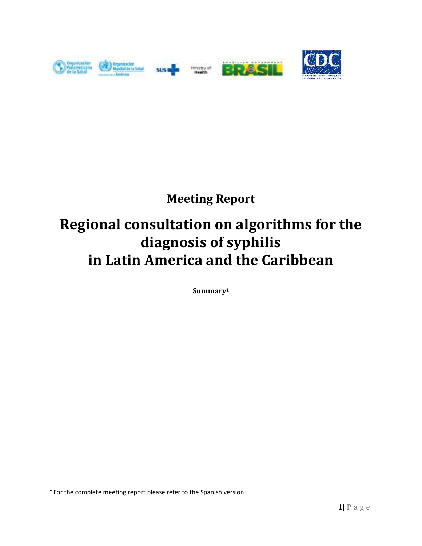

## **Meeting Report**

# **Regional consultation on algorithms for the diagnosis of syphilis in Latin America and the Caribbean**

**Summary<sup>1</sup>**

 $\overline{a}$ 

 $1$  For the complete meeting report please refer to the Spanish version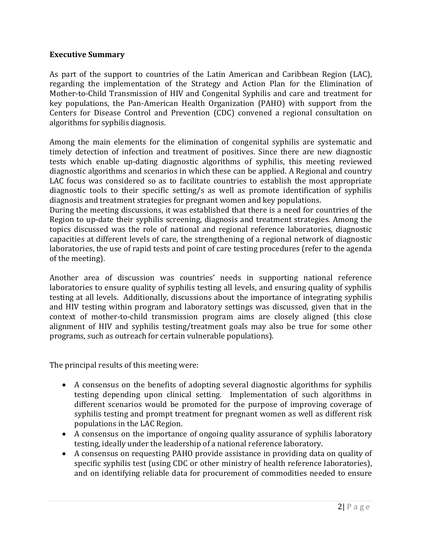#### **Executive Summary**

As part of the support to countries of the Latin American and Caribbean Region (LAC), regarding the implementation of the Strategy and Action Plan for the Elimination of Mother-to-Child Transmission of HIV and Congenital Syphilis and care and treatment for key populations, the Pan-American Health Organization (PAHO) with support from the Centers for Disease Control and Prevention (CDC) convened a regional consultation on algorithms for syphilis diagnosis.

Among the main elements for the elimination of congenital syphilis are systematic and timely detection of infection and treatment of positives. Since there are new diagnostic tests which enable up-dating diagnostic algorithms of syphilis, this meeting reviewed diagnostic algorithms and scenarios in which these can be applied. A Regional and country LAC focus was considered so as to facilitate countries to establish the most appropriate diagnostic tools to their specific setting/s as well as promote identification of syphilis diagnosis and treatment strategies for pregnant women and key populations.

During the meeting discussions, it was established that there is a need for countries of the Region to up-date their syphilis screening, diagnosis and treatment strategies. Among the topics discussed was the role of national and regional reference laboratories, diagnostic capacities at different levels of care, the strengthening of a regional network of diagnostic laboratories, the use of rapid tests and point of care testing procedures (refer to the agenda of the meeting).

Another area of discussion was countries' needs in supporting national reference laboratories to ensure quality of syphilis testing all levels, and ensuring quality of syphilis testing at all levels. Additionally, discussions about the importance of integrating syphilis and HIV testing within program and laboratory settings was discussed, given that in the context of mother-to-child transmission program aims are closely aligned (this close alignment of HIV and syphilis testing/treatment goals may also be true for some other programs, such as outreach for certain vulnerable populations).

The principal results of this meeting were:

- A consensus on the benefits of adopting several diagnostic algorithms for syphilis testing depending upon clinical setting. Implementation of such algorithms in different scenarios would be promoted for the purpose of improving coverage of syphilis testing and prompt treatment for pregnant women as well as different risk populations in the LAC Region.
- A consensus on the importance of ongoing quality assurance of syphilis laboratory testing, ideally under the leadership of a national reference laboratory.
- A consensus on requesting PAHO provide assistance in providing data on quality of specific syphilis test (using CDC or other ministry of health reference laboratories), and on identifying reliable data for procurement of commodities needed to ensure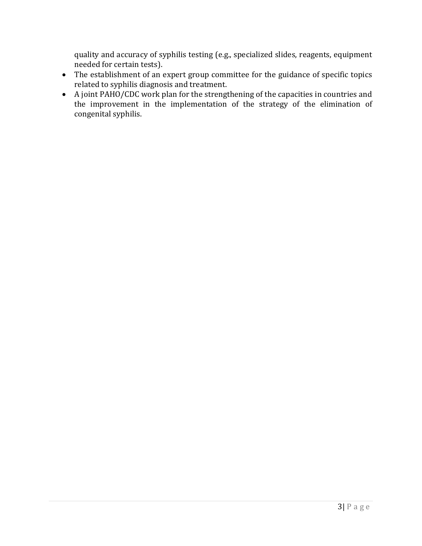quality and accuracy of syphilis testing (e.g., specialized slides, reagents, equipment needed for certain tests).

- The establishment of an expert group committee for the guidance of specific topics related to syphilis diagnosis and treatment.
- A joint PAHO/CDC work plan for the strengthening of the capacities in countries and the improvement in the implementation of the strategy of the elimination of congenital syphilis.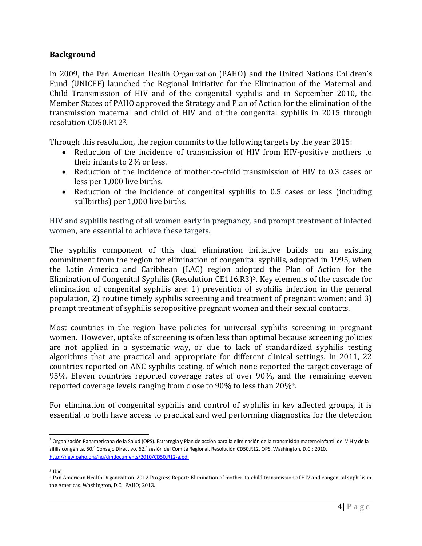#### **Background**

In 2009, the Pan American Health Organization (PAHO) and the United Nations Children's Fund (UNICEF) launched the Regional Initiative for the Elimination of the Maternal and Child Transmission of HIV and of the congenital syphilis and in September 2010, the Member States of PAHO approved the Strategy and Plan of Action for the elimination of the transmission maternal and child of HIV and of the congenital syphilis in 2015 through resolution CD50.R122.

Through this resolution, the region commits to the following targets by the year 2015:

- Reduction of the incidence of transmission of HIV from HIV-positive mothers to their infants to 2% or less.
- Reduction of the incidence of mother-to-child transmission of HIV to 0.3 cases or less per 1,000 live births.
- Reduction of the incidence of congenital syphilis to 0.5 cases or less (including stillbirths) per 1,000 live births.

HIV and syphilis testing of all women early in pregnancy, and prompt treatment of infected women, are essential to achieve these targets.

The syphilis component of this dual elimination initiative builds on an existing commitment from the region for elimination of congenital syphilis, adopted in 1995, when the Latin America and Caribbean (LAC) region adopted the Plan of Action for the Elimination of Congenital Syphilis (Resolution CE116.R3)3. Key elements of the cascade for elimination of congenital syphilis are: 1) prevention of syphilis infection in the general population, 2) routine timely syphilis screening and treatment of pregnant women; and 3) prompt treatment of syphilis seropositive pregnant women and their sexual contacts.

Most countries in the region have policies for universal syphilis screening in pregnant women. However, uptake of screening is often less than optimal because screening policies are not applied in a systematic way, or due to lack of standardized syphilis testing algorithms that are practical and appropriate for different clinical settings. In 2011, 22 countries reported on ANC syphilis testing, of which none reported the target coverage of 95%. Eleven countries reported coverage rates of over 90%, and the remaining eleven reported coverage levels ranging from close to 90% to less than 20%4.

For elimination of congenital syphilis and control of syphilis in key affected groups, it is essential to both have access to practical and well performing diagnostics for the detection

 $\overline{\phantom{0}}$ <sup>2</sup> Organización Panamericana de la Salud (OPS). Estrategia y Plan de acción para la eliminación de la transmisión maternoinfantil del VIH y de la sífilis congénita. 50.<sup>o</sup> Consejo Directivo, 62.<sup>a</sup> sesión del Comité Regional. Resolución CD50.R12. OPS, Washington, D.C.; 2010. http://new.paho.org/hq/dmdocuments/2010/CD50.R12-e.pdf

<sup>3</sup> Ibid

<sup>4</sup> Pan American Health Organization. 2012 Progress Report: Elimination of mother-to-child transmission of HIV and congenital syphilis in the Americas. Washington, D.C.: PAHO; 2013.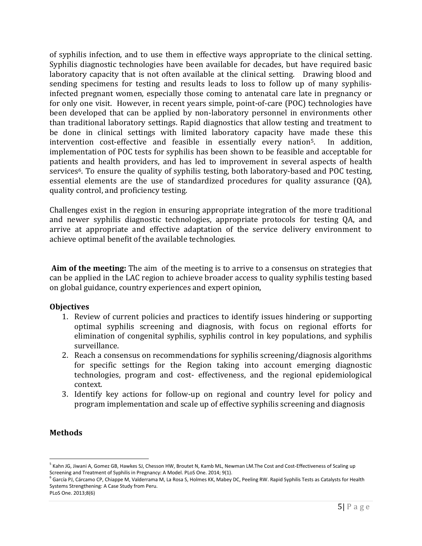of syphilis infection, and to use them in effective ways appropriate to the clinical setting. Syphilis diagnostic technologies have been available for decades, but have required basic laboratory capacity that is not often available at the clinical setting. Drawing blood and sending specimens for testing and results leads to loss to follow up of many syphilisinfected pregnant women, especially those coming to antenatal care late in pregnancy or for only one visit. However, in recent years simple, point-of-care (POC) technologies have been developed that can be applied by non-laboratory personnel in environments other than traditional laboratory settings. Rapid diagnostics that allow testing and treatment to be done in clinical settings with limited laboratory capacity have made these this intervention cost-effective and feasible in essentially every nation<sup>5</sup>. In addition, implementation of POC tests for syphilis has been shown to be feasible and acceptable for patients and health providers, and has led to improvement in several aspects of health services<sup>6</sup>. To ensure the quality of syphilis testing, both laboratory-based and POC testing, essential elements are the use of standardized procedures for quality assurance (QA), quality control, and proficiency testing.

Challenges exist in the region in ensuring appropriate integration of the more traditional and newer syphilis diagnostic technologies, appropriate protocols for testing QA, and arrive at appropriate and effective adaptation of the service delivery environment to achieve optimal benefit of the available technologies.

 **Aim of the meeting:** The aim of the meeting is to arrive to a consensus on strategies that can be applied in the LAC region to achieve broader access to quality syphilis testing based on global guidance, country experiences and expert opinion,

#### **Objectives**

- 1. Review of current policies and practices to identify issues hindering or supporting optimal syphilis screening and diagnosis, with focus on regional efforts for elimination of congenital syphilis, syphilis control in key populations, and syphilis surveillance.
- 2. Reach a consensus on recommendations for syphilis screening/diagnosis algorithms for specific settings for the Region taking into account emerging diagnostic technologies, program and cost- effectiveness, and the regional epidemiological context.
- 3. Identify key actions for follow-up on regional and country level for policy and program implementation and scale up of effective syphilis screening and diagnosis

### **Methods**

l

<sup>&</sup>lt;sup>5</sup> Kahn JG, Jiwani A, Gomez GB, Hawkes SJ, Chesson HW, Broutet N, Kamb ML, Newman LM.The Cost and Cost-Effectiveness of Scaling up Screening and Treatment of Syphilis in Pregnancy: A Model. PLoS One. 2014; 9(1).

<sup>&</sup>lt;sup>6</sup> García PJ, Cárcamo CP, Chiappe M, Valderrama M, La Rosa S, Holmes KK, Mabey DC, Peeling RW. Rapid Syphilis Tests as Catalysts for Health Systems Strengthening: A Case Study from Peru.

PLoS One. 2013;8(6)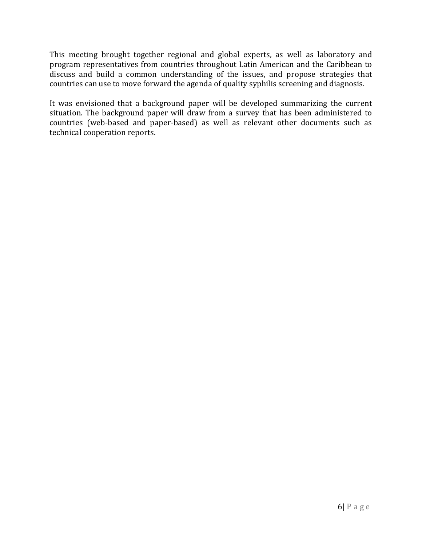This meeting brought together regional and global experts, as well as laboratory and program representatives from countries throughout Latin American and the Caribbean to discuss and build a common understanding of the issues, and propose strategies that countries can use to move forward the agenda of quality syphilis screening and diagnosis.

It was envisioned that a background paper will be developed summarizing the current situation. The background paper will draw from a survey that has been administered to countries (web-based and paper-based) as well as relevant other documents such as technical cooperation reports.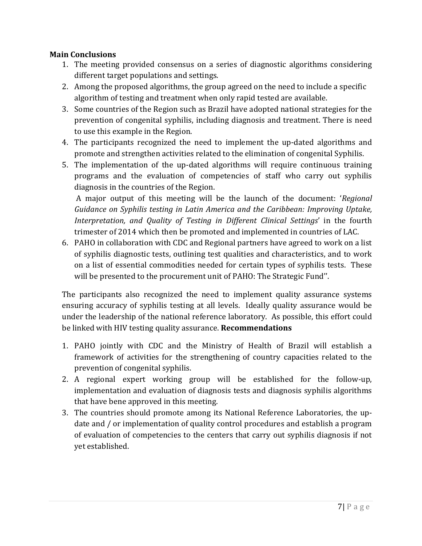### **Main Conclusions**

- 1. The meeting provided consensus on a series of diagnostic algorithms considering different target populations and settings.
- 2. Among the proposed algorithms, the group agreed on the need to include a specific algorithm of testing and treatment when only rapid tested are available.
- 3. Some countries of the Region such as Brazil have adopted national strategies for the prevention of congenital syphilis, including diagnosis and treatment. There is need to use this example in the Region.
- 4. The participants recognized the need to implement the up-dated algorithms and promote and strengthen activities related to the elimination of congenital Syphilis.
- 5. The implementation of the up-dated algorithms will require continuous training programs and the evaluation of competencies of staff who carry out syphilis diagnosis in the countries of the Region.

 A major output of this meeting will be the launch of the document: '*Regional Guidance on Syphilis testing in Latin America and the Caribbean: Improving Uptake, Interpretation, and Quality of Testing in Different Clinical Settings*' in the fourth trimester of 2014 which then be promoted and implemented in countries of LAC.

6. PAHO in collaboration with CDC and Regional partners have agreed to work on a list of syphilis diagnostic tests, outlining test qualities and characteristics, and to work on a list of essential commodities needed for certain types of syphilis tests. These will be presented to the procurement unit of PAHO: The Strategic Fund''.

The participants also recognized the need to implement quality assurance systems ensuring accuracy of syphilis testing at all levels. Ideally quality assurance would be under the leadership of the national reference laboratory. As possible, this effort could be linked with HIV testing quality assurance. **Recommendations** 

- 1. PAHO jointly with CDC and the Ministry of Health of Brazil will establish a framework of activities for the strengthening of country capacities related to the prevention of congenital syphilis.
- 2. A regional expert working group will be established for the follow-up, implementation and evaluation of diagnosis tests and diagnosis syphilis algorithms that have bene approved in this meeting.
- 3. The countries should promote among its National Reference Laboratories, the update and / or implementation of quality control procedures and establish a program of evaluation of competencies to the centers that carry out syphilis diagnosis if not yet established.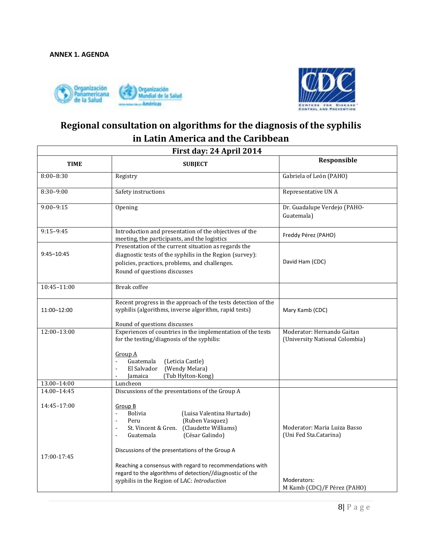



### **Regional consultation on algorithms for the diagnosis of the syphilis in Latin America and the Caribbean**

| First day: 24 April 2014 |                                                                                                                                                                                                                                                    |                                                              |  |  |  |
|--------------------------|----------------------------------------------------------------------------------------------------------------------------------------------------------------------------------------------------------------------------------------------------|--------------------------------------------------------------|--|--|--|
| <b>TIME</b>              | <b>SUBJECT</b>                                                                                                                                                                                                                                     | Responsible                                                  |  |  |  |
| $8:00 - 8:30$            | Registry                                                                                                                                                                                                                                           | Gabriela of León (PAHO)                                      |  |  |  |
| $8:30-9:00$              | Safety instructions                                                                                                                                                                                                                                | Representative UN A                                          |  |  |  |
| $9:00 - 9:15$            | Opening                                                                                                                                                                                                                                            | Dr. Guadalupe Verdejo (PAHO-<br>Guatemala)                   |  |  |  |
| $9:15-9:45$              | Introduction and presentation of the objectives of the<br>meeting, the participants, and the logistics                                                                                                                                             | Freddy Pérez (PAHO)                                          |  |  |  |
| $9:45 - 10:45$           | Presentation of the current situation as regards the<br>diagnostic tests of the syphilis in the Region (survey):<br>policies, practices, problems, and challenges.<br>Round of questions discusses                                                 | David Ham (CDC)                                              |  |  |  |
| 10:45-11:00              | <b>Break</b> coffee                                                                                                                                                                                                                                |                                                              |  |  |  |
| 11:00-12:00              | Recent progress in the approach of the tests detection of the<br>syphilis (algorithms, inverse algorithm, rapid tests)<br>Round of questions discusses                                                                                             | Mary Kamb (CDC)                                              |  |  |  |
| 12:00-13:00              | Experiences of countries in the implementation of the tests<br>for the testing/diagnosis of the syphilis:<br>Group A<br>Guatemala<br>(Leticia Castle)<br>$\overline{\phantom{a}}$<br>El Salvador<br>(Wendy Melara)<br>(Tub Hylton-Kong)<br>Jamaica | Moderator: Hernando Gaitan<br>(University National Colombia) |  |  |  |
| 13.00-14:00              | Luncheon                                                                                                                                                                                                                                           |                                                              |  |  |  |
| 14.00-14:45              | Discussions of the presentations of the Group A                                                                                                                                                                                                    |                                                              |  |  |  |
| 14:45-17:00              | Group B<br><b>Bolivia</b><br>(Luisa Valentina Hurtado)<br>$\blacksquare$<br>(Ruben Vasquez)<br>Peru<br>$\overline{\phantom{a}}$<br>St. Vincent & Gren. (Claudette Williams)<br>$\blacksquare$<br>(César Galindo)<br>Guatemala<br>$\sim$            | Moderator: Maria Luiza Basso<br>(Uni Fed Sta.Catarina)       |  |  |  |
| 17:00-17:45              | Discussions of the presentations of the Group A<br>Reaching a consensus with regard to recommendations with<br>regard to the algorithms of detection//diagnostic of the<br>syphilis in the Region of LAC: Introduction                             | Moderators:<br>M Kamb (CDC)/F Pérez (PAHO)                   |  |  |  |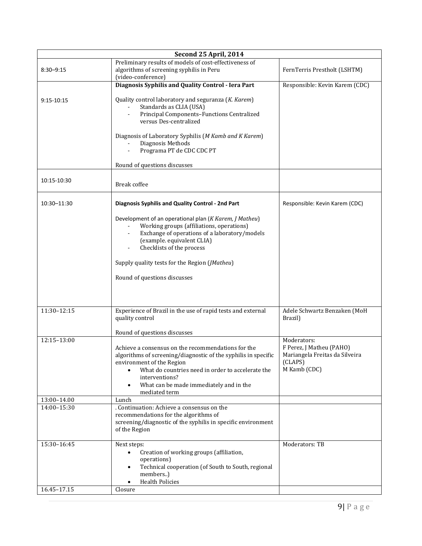| Second 25 April, 2014      |                                                                                                                                                                                                                                                                                      |                                                                                                      |  |  |  |
|----------------------------|--------------------------------------------------------------------------------------------------------------------------------------------------------------------------------------------------------------------------------------------------------------------------------------|------------------------------------------------------------------------------------------------------|--|--|--|
| $8:30 - 9:15$              | Preliminary results of models of cost-effectiveness of<br>algorithms of screening syphilis in Peru<br>(video-conference)                                                                                                                                                             | FernTerris Prestholt (LSHTM)                                                                         |  |  |  |
|                            | Diagnosis Syphilis and Quality Control - Iera Part                                                                                                                                                                                                                                   | Responsible: Kevin Karem (CDC)                                                                       |  |  |  |
| 9:15-10:15                 | Quality control laboratory and seguranza (K. Karem)<br>Standards as CLIA (USA)<br>Principal Components-Functions Centralized<br>versus Des-centralized                                                                                                                               |                                                                                                      |  |  |  |
|                            | Diagnosis of Laboratory Syphilis (M Kamb and K Karem)<br>Diagnosis Methods<br>Programa PT de CDC CDC PT                                                                                                                                                                              |                                                                                                      |  |  |  |
|                            | Round of questions discusses                                                                                                                                                                                                                                                         |                                                                                                      |  |  |  |
| 10:15-10:30                | Break coffee                                                                                                                                                                                                                                                                         |                                                                                                      |  |  |  |
| 10:30-11:30                | Diagnosis Syphilis and Quality Control - 2nd Part                                                                                                                                                                                                                                    | Responsible: Kevin Karem (CDC)                                                                       |  |  |  |
|                            | Development of an operational plan (K Karem, J Matheu)<br>Working groups (affiliations, operations)<br>Exchange of operations of a laboratory/models<br>(example. equivalent CLIA)<br>Checklists of the process                                                                      |                                                                                                      |  |  |  |
|                            | Supply quality tests for the Region (JMatheu)                                                                                                                                                                                                                                        |                                                                                                      |  |  |  |
|                            | Round of questions discusses                                                                                                                                                                                                                                                         |                                                                                                      |  |  |  |
| 11:30-12:15                | Experience of Brazil in the use of rapid tests and external<br>quality control                                                                                                                                                                                                       | Adele Schwartz Benzaken (MoH<br>Brazil)                                                              |  |  |  |
|                            | Round of questions discusses                                                                                                                                                                                                                                                         |                                                                                                      |  |  |  |
| 12:15-13:00                | Achieve a consensus on the recommendations for the<br>algorithms of screening/diagnostic of the syphilis in specific<br>environment of the Region<br>What do countries need in order to accelerate the<br>interventions?<br>What can be made immediately and in the<br>mediated term | Moderators:<br>F Perez, J Matheu (PAHO)<br>Mariangela Freitas da Silveira<br>(CLAPS)<br>M Kamb (CDC) |  |  |  |
| 13:00-14.00                | Lunch                                                                                                                                                                                                                                                                                |                                                                                                      |  |  |  |
| 14:00-15:30                | . Continuation: Achieve a consensus on the<br>recommendations for the algorithms of<br>screening/diagnostic of the syphilis in specific environment<br>of the Region                                                                                                                 |                                                                                                      |  |  |  |
| 15:30-16:45<br>16.45-17.15 | Next steps:<br>Creation of working groups (affiliation,<br>$\bullet$<br>operations)<br>Technical cooperation (of South to South, regional<br>members)<br><b>Health Policies</b><br>$\bullet$<br>Closure                                                                              | Moderators: TB                                                                                       |  |  |  |
|                            |                                                                                                                                                                                                                                                                                      |                                                                                                      |  |  |  |